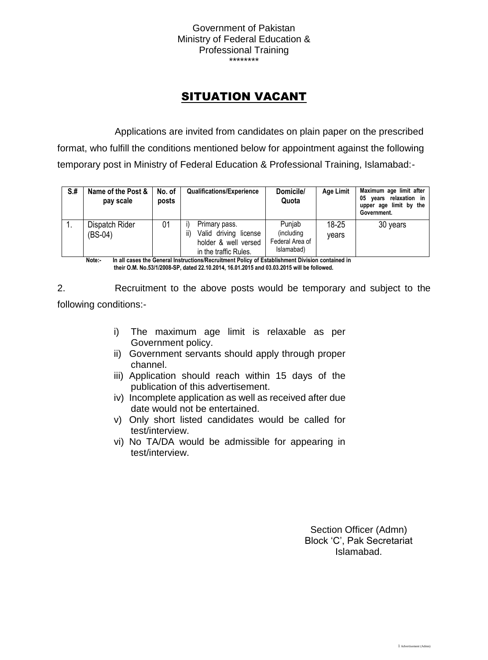Government of Pakistan Ministry of Federal Education & Professional Training \*\*\*\*\*\*\*\*

## SITUATION VACANT

Applications are invited from candidates on plain paper on the prescribed format, who fulfill the conditions mentioned below for appointment against the following temporary post in Ministry of Federal Education & Professional Training, Islamabad:-

| $S+$ | Name of the Post &<br>pay scale | No. of<br>posts | <b>Qualifications/Experience</b>                                                               | Domicile/<br>Quota                                    | <b>Age Limit</b> | Maximum age limit after<br>years relaxation in<br>05<br>upper age limit by the<br>Government. |
|------|---------------------------------|-----------------|------------------------------------------------------------------------------------------------|-------------------------------------------------------|------------------|-----------------------------------------------------------------------------------------------|
|      | Dispatch Rider<br>$(BS-04)$     | 01              | Primary pass.<br>Valid driving license<br>ii)<br>holder & well versed<br>in the traffic Rules. | Punjab<br>(including<br>Federal Area of<br>Islamabad) | 18-25<br>vears   | 30 years                                                                                      |

**Note:- In all cases the General Instructions/Recruitment Policy of Establishment Division contained in their O.M. No.53/1/2008-SP, dated 22.10.2014, 16.01.2015 and 03.03.2015 will be followed.**

2. Recruitment to the above posts would be temporary and subject to the following conditions:-

- i) The maximum age limit is relaxable as per Government policy.
- ii) Government servants should apply through proper channel.
- iii) Application should reach within 15 days of the publication of this advertisement.
- iv) Incomplete application as well as received after due date would not be entertained.
- v) Only short listed candidates would be called for test/interview.
- vi) No TA/DA would be admissible for appearing in test/interview.

Section Officer (Admn) Block 'C', Pak Secretariat Islamabad.